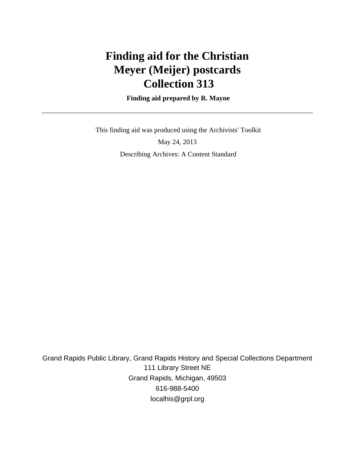# **Finding aid for the Christian Meyer (Meijer) postcards Collection 313**

 **Finding aid prepared by R. Mayne**

 This finding aid was produced using the Archivists' Toolkit May 24, 2013

Describing Archives: A Content Standard

Grand Rapids Public Library, Grand Rapids History and Special Collections Department 111 Library Street NE Grand Rapids, Michigan, 49503 616-988-5400 localhis@grpl.org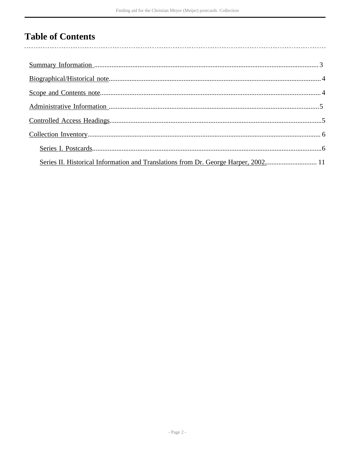## **Table of Contents**

l,

| Series II. Historical Information and Translations from Dr. George Harper, 2002 11 |  |
|------------------------------------------------------------------------------------|--|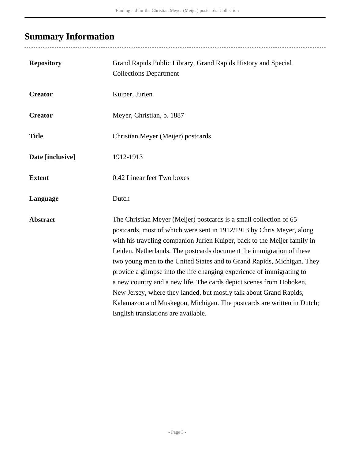# <span id="page-2-0"></span>**Summary Information**

...................................

| <b>Repository</b> | Grand Rapids Public Library, Grand Rapids History and Special<br><b>Collections Department</b>                                                                                                                                                                                                                                                                                                                                                                                                                                                                                                                                                                                                                  |
|-------------------|-----------------------------------------------------------------------------------------------------------------------------------------------------------------------------------------------------------------------------------------------------------------------------------------------------------------------------------------------------------------------------------------------------------------------------------------------------------------------------------------------------------------------------------------------------------------------------------------------------------------------------------------------------------------------------------------------------------------|
| <b>Creator</b>    | Kuiper, Jurien                                                                                                                                                                                                                                                                                                                                                                                                                                                                                                                                                                                                                                                                                                  |
| <b>Creator</b>    | Meyer, Christian, b. 1887                                                                                                                                                                                                                                                                                                                                                                                                                                                                                                                                                                                                                                                                                       |
| <b>Title</b>      | Christian Meyer (Meijer) postcards                                                                                                                                                                                                                                                                                                                                                                                                                                                                                                                                                                                                                                                                              |
| Date [inclusive]  | 1912-1913                                                                                                                                                                                                                                                                                                                                                                                                                                                                                                                                                                                                                                                                                                       |
| <b>Extent</b>     | 0.42 Linear feet Two boxes                                                                                                                                                                                                                                                                                                                                                                                                                                                                                                                                                                                                                                                                                      |
| Language          | Dutch                                                                                                                                                                                                                                                                                                                                                                                                                                                                                                                                                                                                                                                                                                           |
| <b>Abstract</b>   | The Christian Meyer (Meijer) postcards is a small collection of 65<br>postcards, most of which were sent in 1912/1913 by Chris Meyer, along<br>with his traveling companion Jurien Kuiper, back to the Meijer family in<br>Leiden, Netherlands. The postcards document the immigration of these<br>two young men to the United States and to Grand Rapids, Michigan. They<br>provide a glimpse into the life changing experience of immigrating to<br>a new country and a new life. The cards depict scenes from Hoboken,<br>New Jersey, where they landed, but mostly talk about Grand Rapids,<br>Kalamazoo and Muskegon, Michigan. The postcards are written in Dutch;<br>English translations are available. |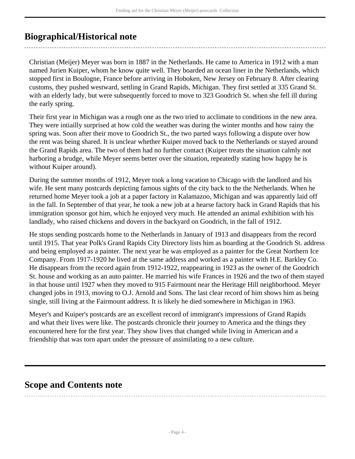## <span id="page-3-0"></span>**Biographical/Historical note**

Christian (Meijer) Meyer was born in 1887 in the Netherlands. He came to America in 1912 with a man named Jurien Kuiper, whom he know quite well. They boarded an ocean liner in the Netherlands, which stopped first in Boulogne, France before arriving in Hoboken, New Jersey on February 8. After clearing customs, they pushed westward, settling in Grand Rapids, Michigan. They first settled at 335 Grand St. with an elderly lady, but were subsequently forced to move to 323 Goodrich St. when she fell ill during the early spring.

Their first year in Michigan was a rough one as the two tried to acclimate to conditions in the new area. They were intiailly surprised at how cold the weather was during the winter months and how rainy the spring was. Soon after their move to Goodrich St., the two parted ways following a dispute over how the rent was being shared. It is unclear whether Kuiper moved back to the Netherlands or stayed around the Grand Rapids area. The two of them had no further contact (Kuiper treats the situation calmly not harboring a brudge, while Meyer seems better over the situation, repeatedly stating how happy he is without Kuiper around).

During the summer months of 1912, Meyer took a long vacation to Chicago with the landlord and his wife. He sent many postcards depicting famous sights of the city back to the the Netherlands. When he returned home Meyer took a job at a paper factory in Kalamazoo, Michigan and was apparently laid off in the fall. In September of that year, he took a new job at a hearse factory back in Grand Rapids that his immigration sponsor got him, which he enjoyed very much. He attended an animal exhibition with his landlady, who raised chickens and dovers in the backyard on Goodrich, in the fall of 1912.

He stops sending postcards home to the Netherlands in January of 1913 and disappears from the record until 1915. That year Polk's Grand Rapids City Directory lists him as boarding at the Goodrich St. address and being employed as a painter. The next year he was employed as a painter for the Great Northern Ice Company. From 1917-1920 he lived at the same address and worked as a painter with H.E. Barkley Co. He disappears from the record again from 1912-1922, reappearing in 1923 as the owner of the Goodrich St. house and working as an auto painter. He married his wife Frances in 1926 and the two of them stayed in that house until 1927 when they moved to 915 Fairmount near the Heritage Hill neighborhood. Meyer changed jobs in 1913, moving to O.J. Arnold and Sons. The last clear record of him shows him as being single, still living at the Fairmount address. It is likely he died somewhere in Michigan in 1963.

Meyer's and Kuiper's postcards are an excellent record of immigrant's impressions of Grand Rapids and what their lives were like. The postcards chronicle their journey to America and the things they encountered here for the first year. They show lives that changed while living in American and a friendship that was torn apart under the pressure of assimilating to a new culture.

### <span id="page-3-1"></span>**Scope and Contents note**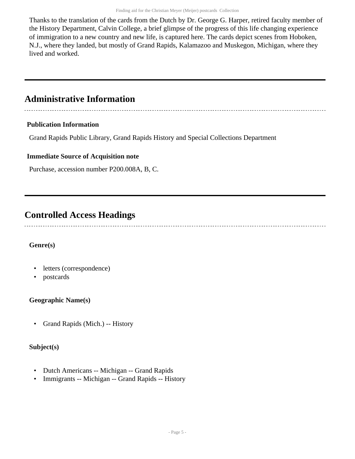Thanks to the translation of the cards from the Dutch by Dr. George G. Harper, retired faculty member of the History Department, Calvin College, a brief glimpse of the progress of this life changing experience of immigration to a new country and new life, is captured here. The cards depict scenes from Hoboken, N.J., where they landed, but mostly of Grand Rapids, Kalamazoo and Muskegon, Michigan, where they lived and worked.

### <span id="page-4-0"></span>**Administrative Information**

### **Publication Information**

Grand Rapids Public Library, Grand Rapids History and Special Collections Department

### **Immediate Source of Acquisition note**

Purchase, accession number P200.008A, B, C.

### <span id="page-4-1"></span>**Controlled Access Headings**

### **Genre(s)**

- letters (correspondence)
- postcards

### **Geographic Name(s)**

• Grand Rapids (Mich.) -- History

### **Subject(s)**

- Dutch Americans -- Michigan -- Grand Rapids
- Immigrants -- Michigan -- Grand Rapids -- History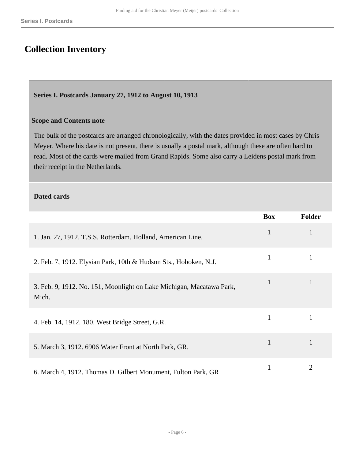## <span id="page-5-0"></span>**Collection Inventory**

#### <span id="page-5-1"></span>**Series I. Postcards January 27, 1912 to August 10, 1913**

#### **Scope and Contents note**

The bulk of the postcards are arranged chronologically, with the dates provided in most cases by Chris Meyer. Where his date is not present, there is usually a postal mark, although these are often hard to read. Most of the cards were mailed from Grand Rapids. Some also carry a Leidens postal mark from their receipt in the Netherlands.

#### **Dated cards**

|                                                                               | <b>Box</b>   | <b>Folder</b> |
|-------------------------------------------------------------------------------|--------------|---------------|
| 1. Jan. 27, 1912. T.S.S. Rotterdam. Holland, American Line.                   | $\mathbf{1}$ |               |
| 2. Feb. 7, 1912. Elysian Park, 10th & Hudson Sts., Hoboken, N.J.              | 1            |               |
| 3. Feb. 9, 1912. No. 151, Moonlight on Lake Michigan, Macatawa Park,<br>Mich. | $\mathbf{1}$ |               |
| 4. Feb. 14, 1912. 180. West Bridge Street, G.R.                               | 1            |               |
| 5. March 3, 1912. 6906 Water Front at North Park, GR.                         | $\mathbf{1}$ |               |
| 6. March 4, 1912. Thomas D. Gilbert Monument, Fulton Park, GR                 |              | 2             |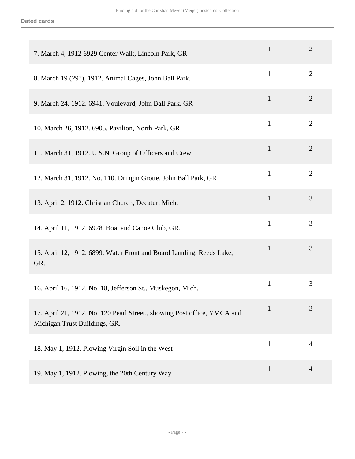| 7. March 4, 1912 6929 Center Walk, Lincoln Park, GR                                                       | $\mathbf{1}$ | $\overline{2}$ |
|-----------------------------------------------------------------------------------------------------------|--------------|----------------|
| 8. March 19 (29?), 1912. Animal Cages, John Ball Park.                                                    | $\mathbf{1}$ | $\overline{2}$ |
| 9. March 24, 1912. 6941. Voulevard, John Ball Park, GR                                                    | $\mathbf{1}$ | $\overline{2}$ |
| 10. March 26, 1912. 6905. Pavilion, North Park, GR                                                        | $\mathbf{1}$ | $\overline{2}$ |
| 11. March 31, 1912. U.S.N. Group of Officers and Crew                                                     | $\mathbf{1}$ | $\overline{2}$ |
| 12. March 31, 1912. No. 110. Dringin Grotte, John Ball Park, GR                                           | $\mathbf{1}$ | $\overline{2}$ |
| 13. April 2, 1912. Christian Church, Decatur, Mich.                                                       | $\mathbf{1}$ | 3              |
| 14. April 11, 1912. 6928. Boat and Canoe Club, GR.                                                        | $\mathbf{1}$ | 3              |
| 15. April 12, 1912. 6899. Water Front and Board Landing, Reeds Lake,<br>GR.                               | $\mathbf{1}$ | 3              |
| 16. April 16, 1912. No. 18, Jefferson St., Muskegon, Mich.                                                | $\mathbf{1}$ | 3              |
| 17. April 21, 1912. No. 120 Pearl Street., showing Post office, YMCA and<br>Michigan Trust Buildings, GR. | 1            | 3              |
| 18. May 1, 1912. Plowing Virgin Soil in the West                                                          | $\mathbf{1}$ | $\overline{4}$ |
| 19. May 1, 1912. Plowing, the 20th Century Way                                                            | 1            | 4              |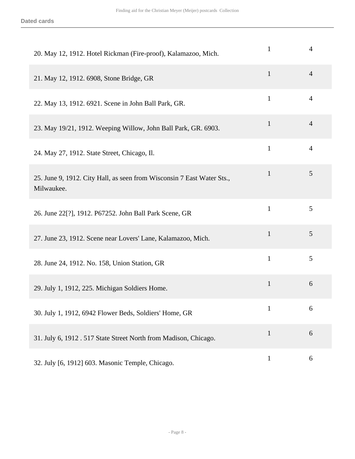| 20. May 12, 1912. Hotel Rickman (Fire-proof), Kalamazoo, Mich.                       | $\mathbf{1}$ | 4              |
|--------------------------------------------------------------------------------------|--------------|----------------|
| 21. May 12, 1912. 6908, Stone Bridge, GR                                             | $\mathbf{1}$ | $\overline{4}$ |
| 22. May 13, 1912. 6921. Scene in John Ball Park, GR.                                 | $\mathbf{1}$ | 4              |
| 23. May 19/21, 1912. Weeping Willow, John Ball Park, GR. 6903.                       | 1            | 4              |
| 24. May 27, 1912. State Street, Chicago, Il.                                         | $\mathbf{1}$ | $\overline{4}$ |
| 25. June 9, 1912. City Hall, as seen from Wisconsin 7 East Water Sts.,<br>Milwaukee. | $\mathbf{1}$ | 5              |
| 26. June 22[?], 1912. P67252. John Ball Park Scene, GR                               | $\mathbf{1}$ | 5              |
| 27. June 23, 1912. Scene near Lovers' Lane, Kalamazoo, Mich.                         | $\mathbf{1}$ | 5              |
| 28. June 24, 1912. No. 158, Union Station, GR                                        | $\mathbf{1}$ | 5              |
| 29. July 1, 1912, 225. Michigan Soldiers Home.                                       | $\mathbf{1}$ | 6              |
| 30. July 1, 1912, 6942 Flower Beds, Soldiers' Home, GR                               | $\mathbf{1}$ | 6              |
| 31. July 6, 1912 . 517 State Street North from Madison, Chicago.                     | $\mathbf{1}$ | 6              |
| 32. July [6, 1912] 603. Masonic Temple, Chicago.                                     | $\mathbf{1}$ | 6              |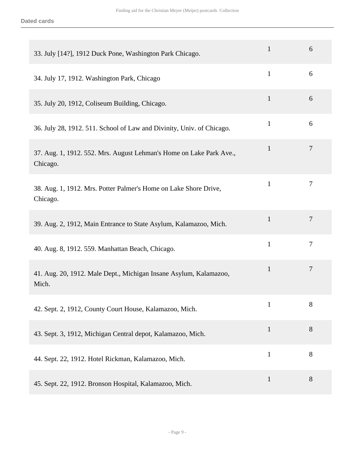| 33. July [14?], 1912 Duck Pone, Washington Park Chicago.                        | 1            | 6              |
|---------------------------------------------------------------------------------|--------------|----------------|
| 34. July 17, 1912. Washington Park, Chicago                                     | $\mathbf{1}$ | 6              |
| 35. July 20, 1912, Coliseum Building, Chicago.                                  | $\mathbf{1}$ | 6              |
| 36. July 28, 1912. 511. School of Law and Divinity, Univ. of Chicago.           | 1            | 6              |
| 37. Aug. 1, 1912. 552. Mrs. August Lehman's Home on Lake Park Ave.,<br>Chicago. | 1            | $\overline{7}$ |
| 38. Aug. 1, 1912. Mrs. Potter Palmer's Home on Lake Shore Drive,<br>Chicago.    | 1            | 7              |
| 39. Aug. 2, 1912, Main Entrance to State Asylum, Kalamazoo, Mich.               | 1            | $\overline{7}$ |
| 40. Aug. 8, 1912. 559. Manhattan Beach, Chicago.                                | $\mathbf{1}$ | $\overline{7}$ |
| 41. Aug. 20, 1912. Male Dept., Michigan Insane Asylum, Kalamazoo,<br>Mich.      | $\mathbf{1}$ | $\overline{7}$ |
| 42. Sept. 2, 1912, County Court House, Kalamazoo, Mich.                         | $\mathbf{1}$ | 8              |
| 43. Sept. 3, 1912, Michigan Central depot, Kalamazoo, Mich.                     | $\mathbf{1}$ | 8              |
| 44. Sept. 22, 1912. Hotel Rickman, Kalamazoo, Mich.                             | $\mathbf{1}$ | 8              |
| 45. Sept. 22, 1912. Bronson Hospital, Kalamazoo, Mich.                          | $\mathbf{1}$ | 8              |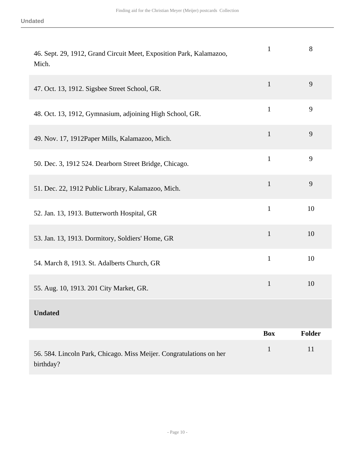| 46. Sept. 29, 1912, Grand Circuit Meet, Exposition Park, Kalamazoo,<br>Mich.     | $\mathbf{1}$ | 8             |
|----------------------------------------------------------------------------------|--------------|---------------|
| 47. Oct. 13, 1912. Sigsbee Street School, GR.                                    | $\mathbf{1}$ | 9             |
| 48. Oct. 13, 1912, Gymnasium, adjoining High School, GR.                         | $\mathbf{1}$ | 9             |
| 49. Nov. 17, 1912 Paper Mills, Kalamazoo, Mich.                                  | $\mathbf{1}$ | 9             |
| 50. Dec. 3, 1912 524. Dearborn Street Bridge, Chicago.                           | $\mathbf{1}$ | 9             |
| 51. Dec. 22, 1912 Public Library, Kalamazoo, Mich.                               | $\mathbf{1}$ | 9             |
| 52. Jan. 13, 1913. Butterworth Hospital, GR                                      | $\mathbf{1}$ | 10            |
| 53. Jan. 13, 1913. Dormitory, Soldiers' Home, GR                                 | $\mathbf{1}$ | 10            |
| 54. March 8, 1913. St. Adalberts Church, GR                                      | $\mathbf{1}$ | 10            |
| 55. Aug. 10, 1913. 201 City Market, GR.                                          | $\mathbf{1}$ | 10            |
| <b>Undated</b>                                                                   |              |               |
|                                                                                  | <b>Box</b>   | <b>Folder</b> |
| 56. 584. Lincoln Park, Chicago. Miss Meijer. Congratulations on her<br>birthday? | $\mathbf{1}$ | 11            |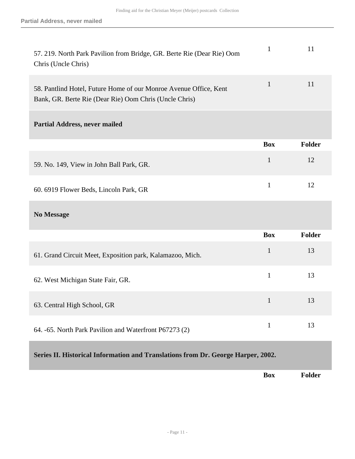<span id="page-10-0"></span>

| 57. 219. North Park Pavilion from Bridge, GR. Berte Rie (Dear Rie) Oom<br>Chris (Uncle Chris)                               | $\mathbf{1}$ | 11     |
|-----------------------------------------------------------------------------------------------------------------------------|--------------|--------|
| 58. Pantlind Hotel, Future Home of our Monroe Avenue Office, Kent<br>Bank, GR. Berte Rie (Dear Rie) Oom Chris (Uncle Chris) | $\mathbf{1}$ | 11     |
| <b>Partial Address, never mailed</b>                                                                                        |              |        |
|                                                                                                                             | <b>Box</b>   | Folder |
| 59. No. 149, View in John Ball Park, GR.                                                                                    | $\mathbf{1}$ | 12     |
| 60. 6919 Flower Beds, Lincoln Park, GR                                                                                      | $\mathbf{1}$ | 12     |
| <b>No Message</b>                                                                                                           |              |        |
|                                                                                                                             | <b>Box</b>   | Folder |
| 61. Grand Circuit Meet, Exposition park, Kalamazoo, Mich.                                                                   | $\mathbf{1}$ | 13     |
| 62. West Michigan State Fair, GR.                                                                                           | $\mathbf{1}$ | 13     |
| 63. Central High School, GR                                                                                                 | $\mathbf{1}$ | 13     |
| 64. -65. North Park Pavilion and Waterfront P67273 (2)                                                                      | $\mathbf{1}$ | 13     |
| Series II. Historical Information and Translations from Dr. George Harper, 2002.                                            |              |        |
|                                                                                                                             | <b>Box</b>   | Folder |